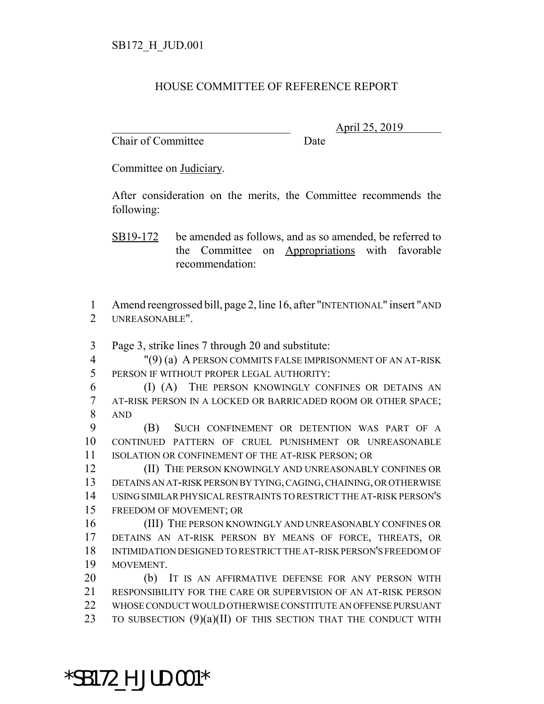## HOUSE COMMITTEE OF REFERENCE REPORT

Chair of Committee Date

\_\_\_\_\_\_\_\_\_\_\_\_\_\_\_\_\_\_\_\_\_\_\_\_\_\_\_\_\_\_\_ April 25, 2019

Committee on Judiciary.

After consideration on the merits, the Committee recommends the following:

SB19-172 be amended as follows, and as so amended, be referred to the Committee on Appropriations with favorable recommendation:

 Amend reengrossed bill, page 2, line 16, after "INTENTIONAL" insert "AND UNREASONABLE".

Page 3, strike lines 7 through 20 and substitute:

 "(9) (a) A PERSON COMMITS FALSE IMPRISONMENT OF AN AT-RISK PERSON IF WITHOUT PROPER LEGAL AUTHORITY:

 (I) (A) THE PERSON KNOWINGLY CONFINES OR DETAINS AN AT-RISK PERSON IN A LOCKED OR BARRICADED ROOM OR OTHER SPACE; AND

 (B) SUCH CONFINEMENT OR DETENTION WAS PART OF A CONTINUED PATTERN OF CRUEL PUNISHMENT OR UNREASONABLE ISOLATION OR CONFINEMENT OF THE AT-RISK PERSON; OR

**(II)** THE PERSON KNOWINGLY AND UNREASONABLY CONFINES OR DETAINS AN AT-RISK PERSON BY TYING, CAGING, CHAINING, OR OTHERWISE USING SIMILAR PHYSICAL RESTRAINTS TO RESTRICT THE AT-RISK PERSON'S FREEDOM OF MOVEMENT; OR

 (III) THE PERSON KNOWINGLY AND UNREASONABLY CONFINES OR DETAINS AN AT-RISK PERSON BY MEANS OF FORCE, THREATS, OR INTIMIDATION DESIGNED TO RESTRICT THE AT-RISK PERSON'S FREEDOM OF MOVEMENT.

 (b) IT IS AN AFFIRMATIVE DEFENSE FOR ANY PERSON WITH RESPONSIBILITY FOR THE CARE OR SUPERVISION OF AN AT-RISK PERSON WHOSE CONDUCT WOULD OTHERWISE CONSTITUTE AN OFFENSE PURSUANT 23 TO SUBSECTION (9)(a)(II) OF THIS SECTION THAT THE CONDUCT WITH

\*SB172\_H\_JUD.001\*